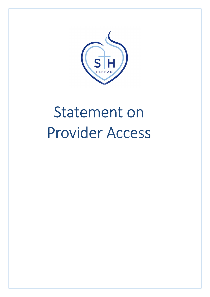

# Statement on Provider Access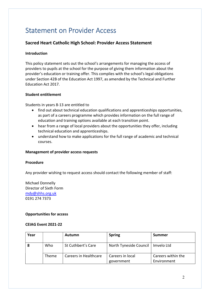## Statement on Provider Access

### Sacred Heart Catholic High School: Provider Access Statement

#### Introduction

This policy statement sets out the school's arrangements for managing the access of providers to pupils at the school for the purpose of giving them information about the provider's education or training offer. This complies with the school's legal obligations under Section 42B of the Education Act 1997, as amended by the Technical and Further Education Act 2017.

#### Student entitlement

Students in years 8-13 are entitled to

- find out about technical education qualifications and apprenticeships opportunities, as part of a careers programme which provides information on the full range of education and training options available at each transition point.
- hear from a range of local providers about the opportunities they offer, including technical education and apprenticeships.
- understand how to make applications for the full range of academic and technical courses.

#### Management of provider access requests

#### Procedure

Any provider wishing to request access should contact the following member of staff:

Michael Donnelly Director of Sixth Form mdy@shhs.org.uk 0191 274 7373

#### Opportunities for access

#### CEIAG Event 2021-22

| Year |              | <b>Autumn</b>         | <b>Spring</b>          | <b>Summer</b>      |
|------|--------------|-----------------------|------------------------|--------------------|
|      | Who          | St Cuthbert's Care    | North Tyneside Council | Imvelo Ltd         |
|      | <b>Theme</b> | Careers in Healthcare | Careers in local       | Careers within the |
|      |              |                       | government             | Environment        |